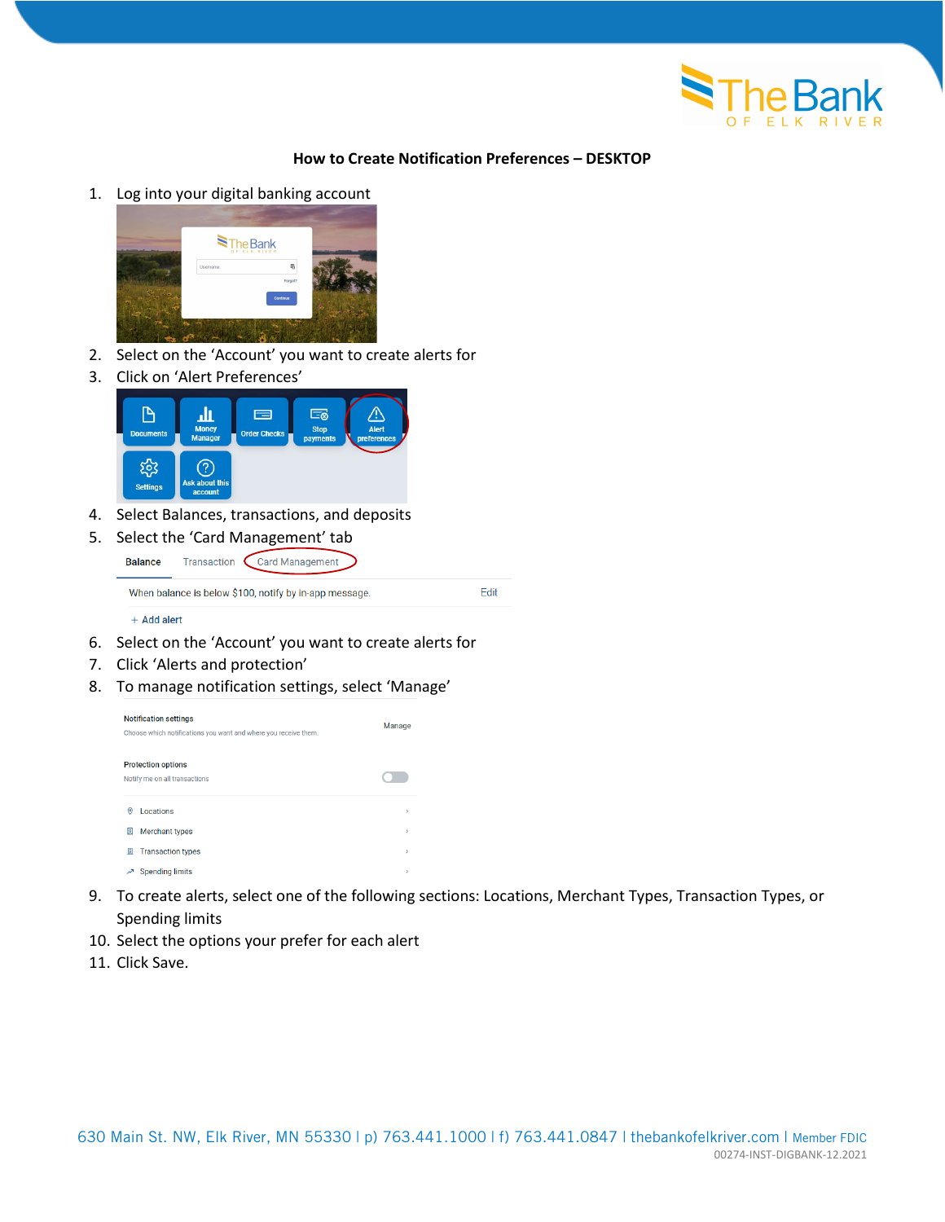

## **How to Create Notification Preferences – DESKTOP**

1. Log into your digital banking account



- 2. Select on the 'Account' you want to create alerts for
- 3. Click on 'Alert Preferences'



- 4. Select Balances, transactions, and deposits
- 5. Select the 'Card Management' tab

Transaction Card Management **Balance** When balance is below \$100, notify by in-app message.

 $+$  Add alert

- 6. Select on the 'Account' you want to create alerts for
- 7. Click 'Alerts and protection'
- 8. To manage notification settings, select 'Manage'



9. To create alerts, select one of the following sections: Locations, Merchant Types, Transaction Types, or Spending limits

Fdit

- 10. Select the options your prefer for each alert
- 11. Click Save.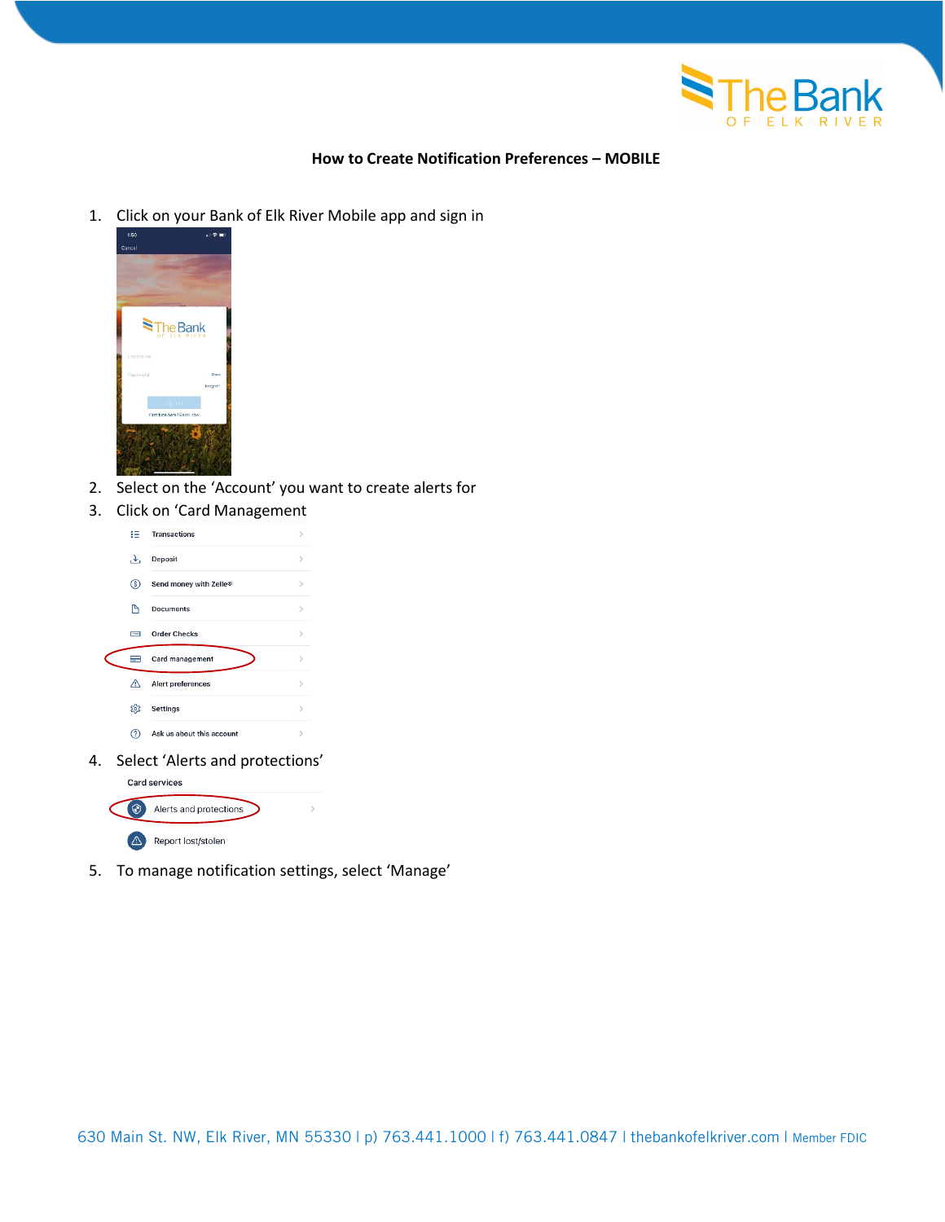

## **How to Create Notification Preferences – MOBILE**

1. Click on your Bank of Elk River Mobile app and sign in



- 2. Select on the 'Account' you want to create alerts for
- 3. Click on 'Card Management

|  | 拦        | <b>Transactions</b>       |               |
|--|----------|---------------------------|---------------|
|  | 上        | Deposit                   | $\mathcal{P}$ |
|  | ◉        | Send money with Zelle®    | $\mathcal{E}$ |
|  | P        | Documents                 | $\mathcal{E}$ |
|  | $\equiv$ | <b>Order Checks</b>       |               |
|  |          |                           |               |
|  | ▬        | Card management           | $\mathcal{E}$ |
|  | ⚠        | Alert preferences         | $\mathcal{E}$ |
|  | భ        | Settings                  | $\mathcal{E}$ |
|  | ℗        | Ask us about this account | $\mathcal{E}$ |

4. Select 'Alerts and protections'



5. To manage notification settings, select 'Manage'